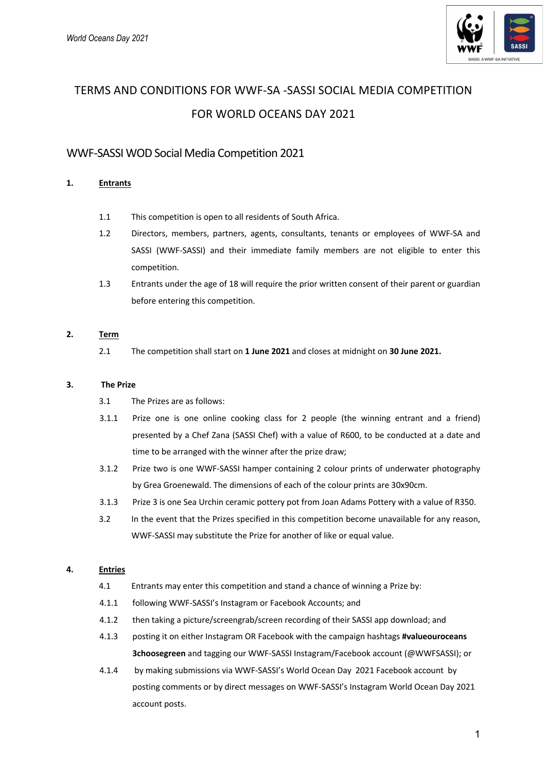

# TERMS AND CONDITIONS FOR WWF-SA -SASSI SOCIAL MEDIA COMPETITION FOR WORLD OCEANS DAY 2021

# WWF-SASSI WOD Social Media Competition 2021

# **1. Entrants**

- 1.1 This competition is open to all residents of South Africa.
- 1.2 Directors, members, partners, agents, consultants, tenants or employees of WWF-SA and SASSI (WWF-SASSI) and their immediate family members are not eligible to enter this competition.
- 1.3 Entrants under the age of 18 will require the prior written consent of their parent or guardian before entering this competition.

## **2. Term**

2.1 The competition shall start on **1 June 2021** and closes at midnight on **30 June 2021.**

#### **3. The Prize**

- 3.1 The Prizes are as follows:
- 3.1.1 Prize one is one online cooking class for 2 people (the winning entrant and a friend) presented by a Chef Zana (SASSI Chef) with a value of R600, to be conducted at a date and time to be arranged with the winner after the prize draw;
- 3.1.2 Prize two is one WWF-SASSI hamper containing 2 colour prints of underwater photography by Grea Groenewald. The dimensions of each of the colour prints are 30x90cm.
- 3.1.3 Prize 3 is one Sea Urchin ceramic pottery pot from Joan Adams Pottery with a value of R350.
- 3.2 In the event that the Prizes specified in this competition become unavailable for any reason, WWF-SASSI may substitute the Prize for another of like or equal value.

## **4. Entries**

- 4.1 Entrants may enter this competition and stand a chance of winning a Prize by:
- 4.1.1 following WWF-SASSI's Instagram or Facebook Accounts; and
- 4.1.2 then taking a picture/screengrab/screen recording of their SASSI app download; and
- 4.1.3 posting it on either Instagram OR Facebook with the campaign hashtags **#valueouroceans 3choosegreen** and tagging our WWF-SASSI Instagram/Facebook account (@WWFSASSI); or
- 4.1.4 by making submissions via WWF-SASSI's World Ocean Day 2021 Facebook account by posting comments or by direct messages on WWF-SASSI's Instagram World Ocean Day 2021 account posts.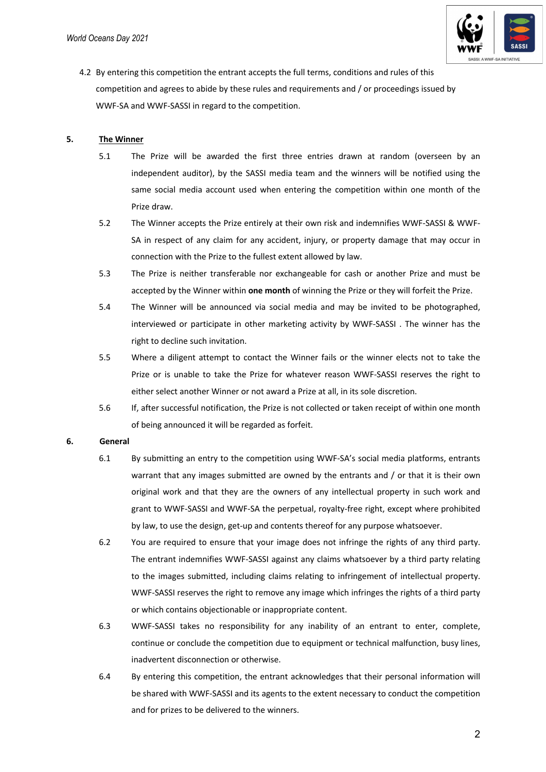

4.2 By entering this competition the entrant accepts the full terms, conditions and rules of this competition and agrees to abide by these rules and requirements and / or proceedings issued by WWF-SA and WWF-SASSI in regard to the competition.

#### **5. The Winner**

- 5.1 The Prize will be awarded the first three entries drawn at random (overseen by an independent auditor), by the SASSI media team and the winners will be notified using the same social media account used when entering the competition within one month of the Prize draw.
- 5.2 The Winner accepts the Prize entirely at their own risk and indemnifies WWF-SASSI & WWF-SA in respect of any claim for any accident, injury, or property damage that may occur in connection with the Prize to the fullest extent allowed by law.
- 5.3 The Prize is neither transferable nor exchangeable for cash or another Prize and must be accepted by the Winner within **one month** of winning the Prize or they will forfeit the Prize.
- 5.4 The Winner will be announced via social media and may be invited to be photographed, interviewed or participate in other marketing activity by WWF-SASSI . The winner has the right to decline such invitation.
- 5.5 Where a diligent attempt to contact the Winner fails or the winner elects not to take the Prize or is unable to take the Prize for whatever reason WWF-SASSI reserves the right to either select another Winner or not award a Prize at all, in its sole discretion.
- 5.6 If, after successful notification, the Prize is not collected or taken receipt of within one month of being announced it will be regarded as forfeit.

#### **6. General**

- 6.1 By submitting an entry to the competition using WWF-SA's social media platforms, entrants warrant that any images submitted are owned by the entrants and / or that it is their own original work and that they are the owners of any intellectual property in such work and grant to WWF-SASSI and WWF-SA the perpetual, royalty-free right, except where prohibited by law, to use the design, get-up and contents thereof for any purpose whatsoever.
- 6.2 You are required to ensure that your image does not infringe the rights of any third party. The entrant indemnifies WWF-SASSI against any claims whatsoever by a third party relating to the images submitted, including claims relating to infringement of intellectual property. WWF-SASSI reserves the right to remove any image which infringes the rights of a third party or which contains objectionable or inappropriate content.
- 6.3 WWF-SASSI takes no responsibility for any inability of an entrant to enter, complete, continue or conclude the competition due to equipment or technical malfunction, busy lines, inadvertent disconnection or otherwise.
- 6.4 By entering this competition, the entrant acknowledges that their personal information will be shared with WWF-SASSI and its agents to the extent necessary to conduct the competition and for prizes to be delivered to the winners.